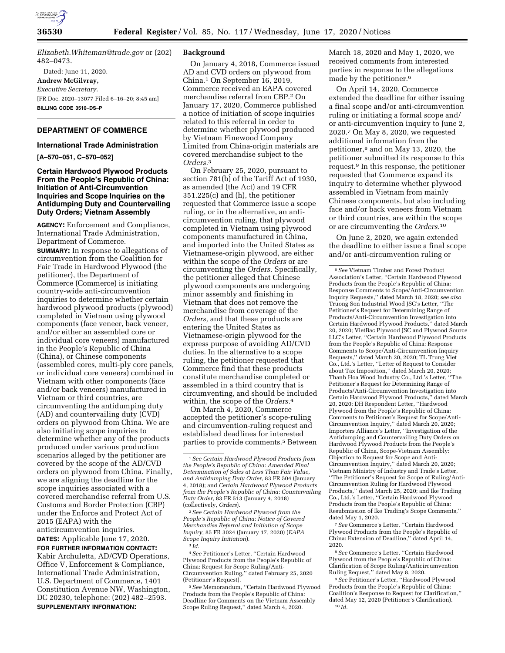

*[Elizabeth.Whiteman@trade.gov](mailto:Elizabeth.Whiteman@trade.gov)* or (202) 482–0473.

Dated: June 11, 2020. **Andrew McGilvray,**  *Executive Secretary.*  [FR Doc. 2020–13077 Filed 6–16–20; 8:45 am] **BILLING CODE 3510–DS–P** 

# **DEPARTMENT OF COMMERCE**

### **International Trade Administration**

**[A–570–051, C–570–052]** 

## **Certain Hardwood Plywood Products From the People's Republic of China: Initiation of Anti-Circumvention Inquiries and Scope Inquiries on the Antidumping Duty and Countervailing Duty Orders; Vietnam Assembly**

**AGENCY:** Enforcement and Compliance, International Trade Administration, Department of Commerce.

**SUMMARY:** In response to allegations of circumvention from the Coalition for Fair Trade in Hardwood Plywood (the petitioner), the Department of Commerce (Commerce) is initiating country-wide anti-circumvention inquiries to determine whether certain hardwood plywood products (plywood) completed in Vietnam using plywood components (face veneer, back veneer, and/or either an assembled core or individual core veneers) manufactured in the People's Republic of China (China), or Chinese components (assembled cores, multi-ply core panels, or individual core veneers) combined in Vietnam with other components (face and/or back veneers) manufactured in Vietnam or third countries, are circumventing the antidumping duty (AD) and countervailing duty (CVD) orders on plywood from China. We are also initiating scope inquiries to determine whether any of the products produced under various production scenarios alleged by the petitioner are covered by the scope of the AD/CVD orders on plywood from China. Finally, we are aligning the deadline for the scope inquiries associated with a covered merchandise referral from U.S. Customs and Border Protection (CBP) under the Enforce and Protect Act of 2015 (EAPA) with the anticircumvention inquiries.

**DATES:** Applicable June 17, 2020. **FOR FURTHER INFORMATION CONTACT:** 

Kabir Archuletta, AD/CVD Operations, Office V, Enforcement & Compliance, International Trade Administration, U.S. Department of Commerce, 1401 Constitution Avenue NW, Washington, DC 20230, telephone: (202) 482–2593. **SUPPLEMENTARY INFORMATION:** 

## **Background**

On January 4, 2018, Commerce issued AD and CVD orders on plywood from China.1 On September 16, 2019, Commerce received an EAPA covered merchandise referral from CBP.2 On January 17, 2020, Commerce published a notice of initiation of scope inquiries related to this referral in order to determine whether plywood produced by Vietnam Finewood Company Limited from China-origin materials are covered merchandise subject to the *Orders.*3

On February 25, 2020, pursuant to section 781(b) of the Tariff Act of 1930, as amended (the Act) and 19 CFR 351.225(c) and (h), the petitioner requested that Commerce issue a scope ruling, or in the alternative, an anticircumvention ruling, that plywood completed in Vietnam using plywood components manufactured in China, and imported into the United States as Vietnamese-origin plywood, are either within the scope of the *Orders* or are circumventing the *Orders.* Specifically, the petitioner alleged that Chinese plywood components are undergoing minor assembly and finishing in Vietnam that does not remove the merchandise from coverage of the *Orders,* and that these products are entering the United States as Vietnamese-origin plywood for the express purpose of avoiding AD/CVD duties. In the alternative to a scope ruling, the petitioner requested that Commerce find that these products constitute merchandise completed or assembled in a third country that is circumventing, and should be included within, the scope of the *Orders.*4

On March 4, 2020, Commerce accepted the petitioner's scope-ruling and circumvention-ruling request and established deadlines for interested parties to provide comments.5 Between

2*See Certain Hardwood Plywood from the People's Republic of China: Notice of Covered Merchandise Referral and Initiation of Scope Inquiry,* 85 FR 3024 (January 17, 2020) (*EAPA Scope Inquiry Initiation*).

3 *Id.* 

5*See* Memorandum, ''Certain Hardwood Plywood Products from the People's Republic of China: Deadline for Comments on the Vietnam Assembly Scope Ruling Request,'' dated March 4, 2020.

March 18, 2020 and May 1, 2020, we received comments from interested parties in response to the allegations made by the petitioner.<sup>6</sup>

On April 14, 2020, Commerce extended the deadline for either issuing a final scope and/or anti-circumvention ruling or initiating a formal scope and/ or anti-circumvention inquiry to June 2, 2020.7 On May 8, 2020, we requested additional information from the petitioner,8 and on May 13, 2020, the petitioner submitted its response to this request.9 In this response, the petitioner requested that Commerce expand its inquiry to determine whether plywood assembled in Vietnam from mainly Chinese components, but also including face and/or back veneers from Vietnam or third countries, are within the scope or are circumventing the *Orders.*10

On June 2, 2020, we again extended the deadline to either issue a final scope and/or anti-circumvention ruling or

7*See* Commerce's Letter, ''Certain Hardwood Plywood Products from the People's Republic of China: Extension of Deadline,'' dated April 14, 2020.

8*See* Commerce's Letter, ''Certain Hardwood Plywood from the People's Republic of China: Clarification of Scope Ruling/Anticircumvention Ruling Request,'' dated May 8, 2020.

9*See* Petitioner's Letter, ''Hardwood Plywood Products from the People's Republic of China: Coalition's Response to Request for Clarification,'' dated May 12, 2020 (Petitioner's Clarification). 10 *Id.* 

<sup>1</sup>*See Certain Hardwood Plywood Products from the People's Republic of China: Amended Final Determination of Sales at Less Than Fair Value, and Antidumping Duty Order,* 83 FR 504 (January 4, 2018); and *Certain Hardwood Plywood Products from the People's Republic of China: Countervailing Duty Order,* 83 FR 513 (January 4, 2018) (collectively, *Orders*).

<sup>4</sup>*See* Petitioner's Letter, ''Certain Hardwood Plywood Products from the People's Republic of China: Request for Scope Ruling/Anti-Circumvention Ruling,'' dated February 25, 2020 (Petitioner's Request).

<sup>6</sup>*See* Vietnam Timber and Forest Product Association's Letter, ''Certain Hardwood Plywood Products from the People's Republic of China: Response Comments to Scope/Anti-Circumvention Inquiry Requests,'' dated March 18, 2020; *see also*  Truong Son Industrial Wood JSC's Letter, ''The Petitioner's Request for Determining Range of Products/Anti-Circumvention Investigation into Certain Hardwood Plywood Products,'' dated March 20, 2020; VietBac Plywood JSC and Plywood Source LLC's Letter, ''Certain Hardwood Plywood Products from the People's Republic of China: Response Comments to Scope/Anti-Circumvention Inquiry Requests,'' dated March 20, 2020; TL Trung Viet Co., Ltd.'s Letter, ''Letter of Request to Consider about Tax Imposition,'' dated March 20, 2020; Thanh Hoa Wood Industry Co., Ltd.'s Letter, ''The Petitioner's Request for Determining Range of Products/Anti-Circumvention Investigation into Certain Hardwood Plywood Products,'' dated March 20, 2020; DH Respondent Letter, ''Hardwood Plywood from the People's Republic of China: Comments to Petitioner's Request for Scope/Anti-Circumvention Inquiry,'' dated March 20, 2020; Importers Alliance's Letter, ''Investigation of the Antidumping and Countervailing Duty Orders on Hardwood Plywood Products from the People's Republic of China, Scope-Vietnam Assembly: Objection to Request for Scope and Anti-Circumvention Inquiry,'' dated March 20, 2020; Vietnam Ministry of Industry and Trade's Letter, ''The Petitioner's Request for Scope of Ruling/Anti-Circumvention Ruling for Hardwood Plywood Products,'' dated March 25, 2020; and Ike Trading Co., Ltd.'s Letter, ''Certain Hardwood Plywood Products from the People's Republic of China: Resubmission of Ike Trading's Scope Comments,'' dated May 1, 2020.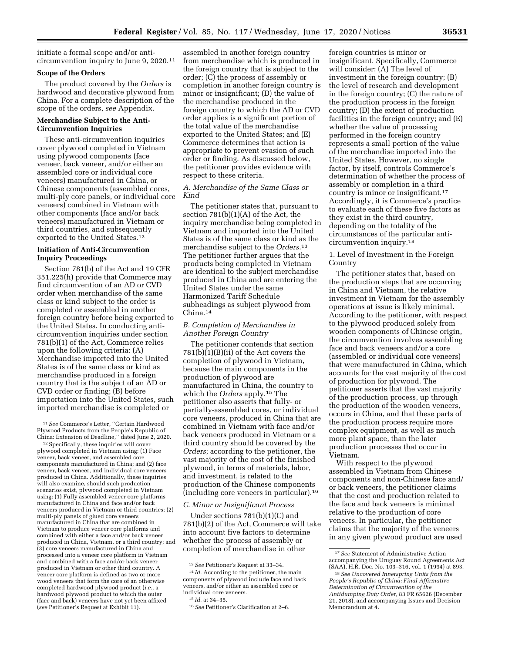initiate a formal scope and/or anticircumvention inquiry to June 9, 2020.11

#### **Scope of the Orders**

The product covered by the *Orders* is hardwood and decorative plywood from China. For a complete description of the scope of the orders, *see* Appendix.

### **Merchandise Subject to the Anti-Circumvention Inquiries**

These anti-circumvention inquiries cover plywood completed in Vietnam using plywood components (face veneer, back veneer, and/or either an assembled core or individual core veneers) manufactured in China, or Chinese components (assembled cores, multi-ply core panels, or individual core veneers) combined in Vietnam with other components (face and/or back veneers) manufactured in Vietnam or third countries, and subsequently exported to the United States.12

### **Initiation of Anti-Circumvention Inquiry Proceedings**

Section 781(b) of the Act and 19 CFR 351.225(h) provide that Commerce may find circumvention of an AD or CVD order when merchandise of the same class or kind subject to the order is completed or assembled in another foreign country before being exported to the United States. In conducting anticircumvention inquiries under section 781(b)(1) of the Act, Commerce relies upon the following criteria: (A) Merchandise imported into the United States is of the same class or kind as merchandise produced in a foreign country that is the subject of an AD or CVD order or finding; (B) before importation into the United States, such imported merchandise is completed or

12Specifically, these inquiries will cover plywood completed in Vietnam using: (1) Face veneer, back veneer, and assembled core components manufactured in China; and (2) face veneer, back veneer, and individual core veneers produced in China. Additionally, these inquiries will also examine, should such production scenarios exist, plywood completed in Vietnam using: (1) Fully assembled veneer core platforms manufactured in China and face and/or back veneers produced in Vietnam or third countries; (2) multi-ply panels of glued core veneers manufactured in China that are combined in Vietnam to produce veneer core platforms and combined with either a face and/or back veneer produced in China, Vietnam, or a third country; and (3) core veneers manufactured in China and processed into a veneer core platform in Vietnam and combined with a face and/or back veneer produced in Vietnam or other third country. A veneer core platform is defined as two or more wood veneers that form the core of an otherwise completed hardwood plywood product (*i.e.,* a hardwood plywood product to which the outer (face and back) veneers have not yet been affixed (*see* Petitioner's Request at Exhibit 11).

assembled in another foreign country from merchandise which is produced in the foreign country that is subject to the order; (C) the process of assembly or completion in another foreign country is minor or insignificant; (D) the value of the merchandise produced in the foreign country to which the AD or CVD order applies is a significant portion of the total value of the merchandise exported to the United States; and (E) Commerce determines that action is appropriate to prevent evasion of such order or finding. As discussed below, the petitioner provides evidence with respect to these criteria.

### *A. Merchandise of the Same Class or Kind*

The petitioner states that, pursuant to section 781(b)(1)(A) of the Act, the inquiry merchandise being completed in Vietnam and imported into the United States is of the same class or kind as the merchandise subject to the *Orders.*13 The petitioner further argues that the products being completed in Vietnam are identical to the subject merchandise produced in China and are entering the United States under the same Harmonized Tariff Schedule subheadings as subject plywood from China.14

## *B. Completion of Merchandise in Another Foreign Country*

The petitioner contends that section 781(b)(1)(B)(ii) of the Act covers the completion of plywood in Vietnam, because the main components in the production of plywood are manufactured in China, the country to which the *Orders* apply.15 The petitioner also asserts that fully- or partially-assembled cores, or individual core veneers, produced in China that are combined in Vietnam with face and/or back veneers produced in Vietnam or a third country should be covered by the *Orders*; according to the petitioner, the vast majority of the cost of the finished plywood, in terms of materials, labor, and investment, is related to the production of the Chinese components (including core veneers in particular).16

### *C. Minor or Insignificant Process*

Under sections 781(b)(1)(C) and 781(b)(2) of the Act, Commerce will take into account five factors to determine whether the process of assembly or completion of merchandise in other

foreign countries is minor or insignificant. Specifically, Commerce will consider: (A) The level of investment in the foreign country; (B) the level of research and development in the foreign country; (C) the nature of the production process in the foreign country; (D) the extent of production facilities in the foreign country; and (E) whether the value of processing performed in the foreign country represents a small portion of the value of the merchandise imported into the United States. However, no single factor, by itself, controls Commerce's determination of whether the process of assembly or completion in a third country is minor or insignificant.17 Accordingly, it is Commerce's practice to evaluate each of these five factors as they exist in the third country, depending on the totality of the circumstances of the particular anticircumvention inquiry.18

## 1. Level of Investment in the Foreign Country

The petitioner states that, based on the production steps that are occurring in China and Vietnam, the relative investment in Vietnam for the assembly operations at issue is likely minimal. According to the petitioner, with respect to the plywood produced solely from wooden components of Chinese origin, the circumvention involves assembling face and back veneers and/or a core (assembled or individual core veneers) that were manufactured in China, which accounts for the vast majority of the cost of production for plywood. The petitioner asserts that the vast majority of the production process, up through the production of the wooden veneers, occurs in China, and that these parts of the production process require more complex equipment, as well as much more plant space, than the later production processes that occur in Vietnam.

With respect to the plywood assembled in Vietnam from Chinese components and non-Chinese face and/ or back veneers, the petitioner claims that the cost and production related to the face and back veneers is minimal relative to the production of core veneers. In particular, the petitioner claims that the majority of the veneers in any given plywood product are used

<sup>11</sup>*See* Commerce's Letter, ''Certain Hardwood Plywood Products from the People's Republic of China: Extension of Deadline,'' dated June 2, 2020.

<sup>13</sup>*See* Petitioner's Request at 33–34.

<sup>14</sup> *Id.* According to the petitioner, the main components of plywood include face and back veneers, and/or either an assembled core or individual core veneers.

<sup>15</sup> *Id.* at 34–35.

<sup>16</sup>*See* Petitioner's Clarification at 2–6.

<sup>17</sup>*See* Statement of Administrative Action accompanying the Uruguay Round Agreements Act (SAA), H.R. Doc. No. 103–316, vol. 1 (1994) at 893.

<sup>18</sup>*See Uncovered Innerspring Units from the People's Republic of China: Final Affirmative Determination of Circumvention of the Antidumping Duty Order,* 83 FR 65626 (December 21, 2018), and accompanying Issues and Decision Memorandum at 4.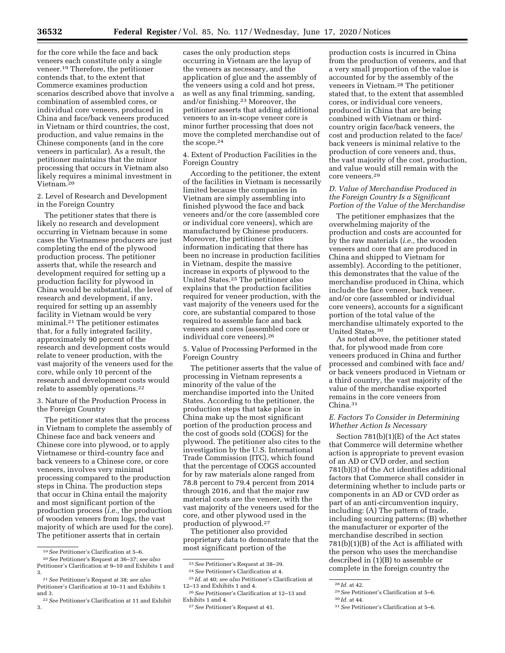for the core while the face and back veneers each constitute only a single veneer.19 Therefore, the petitioner contends that, to the extent that Commerce examines production scenarios described above that involve a combination of assembled cores, or individual core veneers, produced in China and face/back veneers produced in Vietnam or third countries, the cost, production, and value remains in the Chinese components (and in the core veneers in particular). As a result, the petitioner maintains that the minor processing that occurs in Vietnam also likely requires a minimal investment in Vietnam.20

2. Level of Research and Development in the Foreign Country

The petitioner states that there is likely no research and development occurring in Vietnam because in some cases the Vietnamese producers are just completing the end of the plywood production process. The petitioner asserts that, while the research and development required for setting up a production facility for plywood in China would be substantial, the level of research and development, if any, required for setting up an assembly facility in Vietnam would be very minimal.21 The petitioner estimates that, for a fully integrated facility, approximately 90 percent of the research and development costs would relate to veneer production, with the vast majority of the veneers used for the core, while only 10 percent of the research and development costs would relate to assembly operations.22

3. Nature of the Production Process in the Foreign Country

The petitioner states that the process in Vietnam to complete the assembly of Chinese face and back veneers and Chinese core into plywood, or to apply Vietnamese or third-country face and back veneers to a Chinese core, or core veneers, involves very minimal processing compared to the production steps in China. The production steps that occur in China entail the majority and most significant portion of the production process (*i.e.,* the production of wooden veneers from logs, the vast majority of which are used for the core). The petitioner asserts that in certain

cases the only production steps occurring in Vietnam are the layup of the veneers as necessary, and the application of glue and the assembly of the veneers using a cold and hot press, as well as any final trimming, sanding, and/or finishing.23 Moreover, the petitioner asserts that adding additional veneers to an in-scope veneer core is minor further processing that does not move the completed merchandise out of the scope.24

4. Extent of Production Facilities in the Foreign Country

According to the petitioner, the extent of the facilities in Vietnam is necessarily limited because the companies in Vietnam are simply assembling into finished plywood the face and back veneers and/or the core (assembled core or individual core veneers), which are manufactured by Chinese producers. Moreover, the petitioner cites information indicating that there has been no increase in production facilities in Vietnam, despite the massive increase in exports of plywood to the United States.25 The petitioner also explains that the production facilities required for veneer production, with the vast majority of the veneers used for the core, are substantial compared to those required to assemble face and back veneers and cores (assembled core or individual core veneers).26

5. Value of Processing Performed in the Foreign Country

The petitioner asserts that the value of processing in Vietnam represents a minority of the value of the merchandise imported into the United States. According to the petitioner, the production steps that take place in China make up the most significant portion of the production process and the cost of goods sold (COGS) for the plywood. The petitioner also cites to the investigation by the U.S. International Trade Commission (ITC), which found that the percentage of COGS accounted for by raw materials alone ranged from 78.8 percent to 79.4 percent from 2014 through 2016, and that the major raw material costs are the veneer, with the vast majority of the veneers used for the core, and other plywood used in the production of plywood.27

The petitioner also provided proprietary data to demonstrate that the most significant portion of the

production costs is incurred in China from the production of veneers, and that a very small proportion of the value is accounted for by the assembly of the veneers in Vietnam.28 The petitioner stated that, to the extent that assembled cores, or individual core veneers, produced in China that are being combined with Vietnam or thirdcountry origin face/back veneers, the cost and production related to the face/ back veneers is minimal relative to the production of core veneers and, thus, the vast majority of the cost, production, and value would still remain with the core veneers.29

## *D. Value of Merchandise Produced in the Foreign Country Is a Significant Portion of the Value of the Merchandise*

The petitioner emphasizes that the overwhelming majority of the production and costs are accounted for by the raw materials (*i.e.,* the wooden veneers and core that are produced in China and shipped to Vietnam for assembly). According to the petitioner, this demonstrates that the value of the merchandise produced in China, which include the face veneer, back veneer, and/or core (assembled or individual core veneers), accounts for a significant portion of the total value of the merchandise ultimately exported to the United States.30

As noted above, the petitioner stated that, for plywood made from core veneers produced in China and further processed and combined with face and/ or back veneers produced in Vietnam or a third country, the vast majority of the value of the merchandise exported remains in the core veneers from China.31

### *E. Factors To Consider in Determining Whether Action Is Necessary*

Section 781(b)(1)(E) of the Act states that Commerce will determine whether action is appropriate to prevent evasion of an AD or CVD order, and section 781(b)(3) of the Act identifies additional factors that Commerce shall consider in determining whether to include parts or components in an AD or CVD order as part of an anti-circumvention inquiry, including: (A) The pattern of trade, including sourcing patterns; (B) whether the manufacturer or exporter of the merchandise described in section 781(b)(1)(B) of the Act is affiliated with the person who uses the merchandise described in (1)(B) to assemble or complete in the foreign country the

<sup>19</sup>*See* Petitioner's Clarification at 5–6.

<sup>20</sup>*See* Petitioner's Request at 36–37; *see also*  Petitioner's Clarification at 9–10 and Exhibits 1 and 3.

<sup>21</sup>*See* Petitioner's Request at 38; *see also*  Petitioner's Clarification at 10–11 and Exhibits 1 and 3.

<sup>22</sup>*See* Petitioner's Clarification at 11 and Exhibit 3.

<sup>23</sup>*See* Petitioner's Request at 38–39. 24*See* Petitioner's Clarification at 4.

<sup>25</sup> *Id.* at 40; *see also* Petitioner's Clarification at 12–13 and Exhibits 1 and 4.

<sup>26</sup>*See* Petitioner's Clarification at 12–13 and Exhibits 1 and 4.

<sup>27</sup>*See* Petitioner's Request at 41.

<sup>28</sup> *Id.* at 42.

<sup>29</sup>*See* Petitioner's Clarification at 5–6.

<sup>30</sup> *Id.* at 44.

<sup>31</sup>*See* Petitioner's Clarification at 5–6.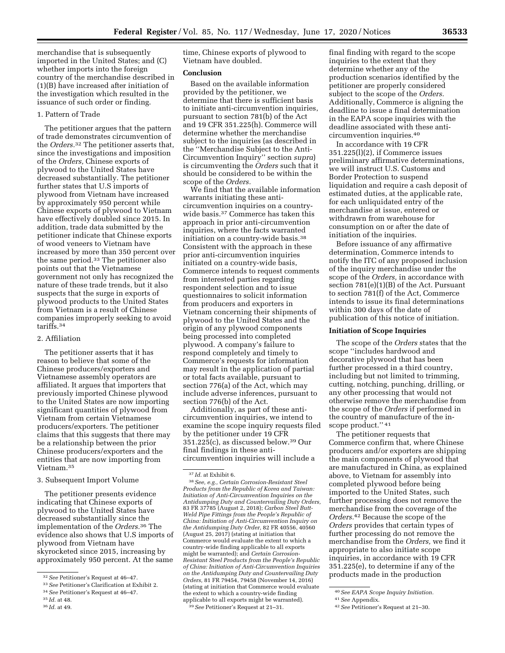merchandise that is subsequently imported in the United States; and (C) whether imports into the foreign country of the merchandise described in (1)(B) have increased after initiation of the investigation which resulted in the issuance of such order or finding.

## 1. Pattern of Trade

The petitioner argues that the pattern of trade demonstrates circumvention of the *Orders.*32 The petitioner asserts that, since the investigations and imposition of the *Orders,* Chinese exports of plywood to the United States have decreased substantially. The petitioner further states that U.S imports of plywood from Vietnam have increased by approximately 950 percent while Chinese exports of plywood to Vietnam have effectively doubled since 2015. In addition, trade data submitted by the petitioner indicate that Chinese exports of wood veneers to Vietnam have increased by more than 350 percent over the same period.33 The petitioner also points out that the Vietnamese government not only has recognized the nature of these trade trends, but it also suspects that the surge in exports of plywood products to the United States from Vietnam is a result of Chinese companies improperly seeking to avoid tariffs.34

## 2. Affiliation

The petitioner asserts that it has reason to believe that some of the Chinese producers/exporters and Vietnamese assembly operators are affiliated. It argues that importers that previously imported Chinese plywood to the United States are now importing significant quantities of plywood from Vietnam from certain Vietnamese producers/exporters. The petitioner claims that this suggests that there may be a relationship between the prior Chinese producers/exporters and the entities that are now importing from Vietnam.35

## 3. Subsequent Import Volume

The petitioner presents evidence indicating that Chinese exports of plywood to the United States have decreased substantially since the implementation of the *Orders.*36 The evidence also shows that U.S imports of plywood from Vietnam have skyrocketed since 2015, increasing by approximately 950 percent. At the same

36 *Id.* at 49.

time, Chinese exports of plywood to Vietnam have doubled.

## **Conclusion**

Based on the available information provided by the petitioner, we determine that there is sufficient basis to initiate anti-circumvention inquiries, pursuant to section 781(b) of the Act and 19 CFR 351.225(h). Commerce will determine whether the merchandise subject to the inquiries (as described in the ''Merchandise Subject to the Anti-Circumvention Inquiry'' section *supra*) is circumventing the *Orders* such that it should be considered to be within the scope of the *Orders.* 

We find that the available information warrants initiating these anticircumvention inquiries on a countrywide basis.37 Commerce has taken this approach in prior anti-circumvention inquiries, where the facts warranted initiation on a country-wide basis.38 Consistent with the approach in these prior anti-circumvention inquiries initiated on a country-wide basis, Commerce intends to request comments from interested parties regarding respondent selection and to issue questionnaires to solicit information from producers and exporters in Vietnam concerning their shipments of plywood to the United States and the origin of any plywood components being processed into completed plywood. A company's failure to respond completely and timely to Commerce's requests for information may result in the application of partial or total facts available, pursuant to section 776(a) of the Act, which may include adverse inferences, pursuant to section 776(b) of the Act.

Additionally, as part of these anticircumvention inquiries, we intend to examine the scope inquiry requests filed by the petitioner under 19 CFR 351.225(c), as discussed below.39 Our final findings in these anticircumvention inquiries will include a

final finding with regard to the scope inquiries to the extent that they determine whether any of the production scenarios identified by the petitioner are properly considered subject to the scope of the *Orders.*  Additionally, Commerce is aligning the deadline to issue a final determination in the EAPA scope inquiries with the deadline associated with these anticircumvention inquiries.40

In accordance with 19 CFR 351.225(l)(2), if Commerce issues preliminary affirmative determinations, we will instruct U.S. Customs and Border Protection to suspend liquidation and require a cash deposit of estimated duties, at the applicable rate, for each unliquidated entry of the merchandise at issue, entered or withdrawn from warehouse for consumption on or after the date of initiation of the inquiries.

Before issuance of any affirmative determination, Commerce intends to notify the ITC of any proposed inclusion of the inquiry merchandise under the scope of the *Orders,* in accordance with section 781(e)(1)(B) of the Act. Pursuant to section 781(f) of the Act, Commerce intends to issue its final determinations within 300 days of the date of publication of this notice of initiation.

## **Initiation of Scope Inquiries**

The scope of the *Orders* states that the scope ''includes hardwood and decorative plywood that has been further processed in a third country, including but not limited to trimming, cutting, notching, punching, drilling, or any other processing that would not otherwise remove the merchandise from the scope of the *Orders* if performed in the country of manufacture of the inscope product.'' 41

The petitioner requests that Commerce confirm that, where Chinese producers and/or exporters are shipping the main components of plywood that are manufactured in China, as explained above, to Vietnam for assembly into completed plywood before being imported to the United States, such further processing does not remove the merchandise from the coverage of the *Orders.*42 Because the scope of the *Orders* provides that certain types of further processing do not remove the merchandise from the *Orders,* we find it appropriate to also initiate scope inquiries, in accordance with 19 CFR 351.225(e), to determine if any of the products made in the production

<sup>32</sup>*See* Petitioner's Request at 46–47.

<sup>33</sup>*See* Petitioner's Clarification at Exhibit 2.

<sup>34</sup>*See* Petitioner's Request at 46–47.

<sup>35</sup> *Id.* at 48.

<sup>37</sup> *Id.* at Exhibit 6.

<sup>38</sup>*See, e.g., Certain Corrosion-Resistant Steel Products from the Republic of Korea and Taiwan: Initiation of Anti-Circumvention Inquiries on the Antidumping Duty and Countervailing Duty Orders,*  83 FR 37785 (August 2, 2018); *Carbon Steel Butt-Weld Pipe Fittings from the People's Republic of China: Initiation of Anti-Circumvention Inquiry on the Antidumping Duty Order,* 82 FR 40556, 40560 (August 25, 2017) (stating at initiation that Commerce would evaluate the extent to which a country-wide finding applicable to all exports might be warranted); and *Certain Corrosion-Resistant Steel Products from the People's Republic of China: Initiation of Anti-Circumvention Inquiries on the Antidumping Duty and Countervailing Duty Orders,* 81 FR 79454, 79458 (November 14, 2016) (stating at initiation that Commerce would evaluate the extent to which a country-wide finding applicable to all exports might be warranted). 39*See* Petitioner's Request at 21–31.

<sup>40</sup>*See EAPA Scope Inquiry Initiation.* 

<sup>41</sup>*See* Appendix.

<sup>42</sup>*See* Petitioner's Request at 21–30.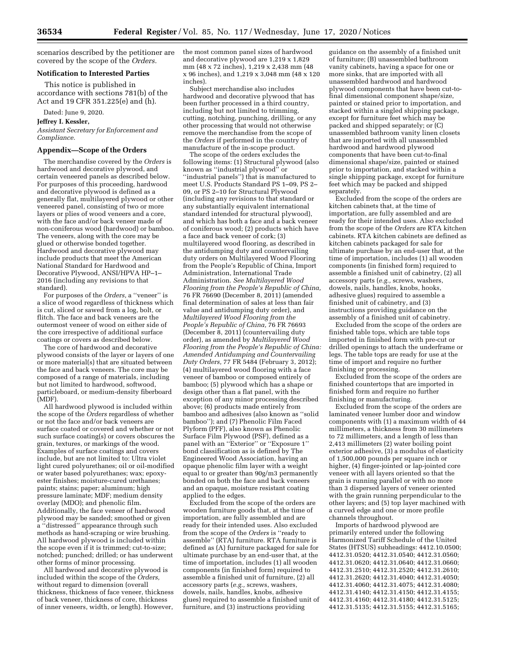scenarios described by the petitioner are covered by the scope of the *Orders.* 

### **Notification to Interested Parties**

This notice is published in accordance with sections 781(b) of the Act and 19 CFR 351.225(e) and (h).

Dated: June 9, 2020.

## **Jeffrey I. Kessler,**

*Assistant Secretary for Enforcement and Compliance.* 

### **Appendix—Scope of the Orders**

The merchandise covered by the *Orders* is hardwood and decorative plywood, and certain veneered panels as described below. For purposes of this proceeding, hardwood and decorative plywood is defined as a generally flat, multilayered plywood or other veneered panel, consisting of two or more layers or plies of wood veneers and a core, with the face and/or back veneer made of non-coniferous wood (hardwood) or bamboo. The veneers, along with the core may be glued or otherwise bonded together. Hardwood and decorative plywood may include products that meet the American National Standard for Hardwood and Decorative Plywood, ANSI/HPVA HP–1– 2016 (including any revisions to that standard).

For purposes of the *Orders,* a ''veneer'' is a slice of wood regardless of thickness which is cut, sliced or sawed from a log, bolt, or flitch. The face and back veneers are the outermost veneer of wood on either side of the core irrespective of additional surface coatings or covers as described below.

The core of hardwood and decorative plywood consists of the layer or layers of one or more material(s) that are situated between the face and back veneers. The core may be composed of a range of materials, including but not limited to hardwood, softwood, particleboard, or medium-density fiberboard (MDF).

All hardwood plywood is included within the scope of the *Orders* regardless of whether or not the face and/or back veneers are surface coated or covered and whether or not such surface coating(s) or covers obscures the grain, textures, or markings of the wood. Examples of surface coatings and covers include, but are not limited to: Ultra violet light cured polyurethanes; oil or oil-modified or water based polyurethanes; wax; epoxyester finishes; moisture-cured urethanes; paints; stains; paper; aluminum; high pressure laminate; MDF; medium density overlay (MDO); and phenolic film. Additionally, the face veneer of hardwood plywood may be sanded; smoothed or given a ''distressed'' appearance through such methods as hand-scraping or wire brushing. All hardwood plywood is included within the scope even if it is trimmed; cut-to-size; notched; punched; drilled; or has underwent other forms of minor processing.

All hardwood and decorative plywood is included within the scope of the *Orders,*  without regard to dimension (overall thickness, thickness of face veneer, thickness of back veneer, thickness of core, thickness of inner veneers, width, or length). However,

the most common panel sizes of hardwood and decorative plywood are 1,219 x 1,829 mm (48 x 72 inches), 1,219 x 2,438 mm (48 x 96 inches), and 1,219 x 3,048 mm (48 x 120 inches).

Subject merchandise also includes hardwood and decorative plywood that has been further processed in a third country, including but not limited to trimming, cutting, notching, punching, drilling, or any other processing that would not otherwise remove the merchandise from the scope of the *Orders* if performed in the country of manufacture of the in-scope product.

The scope of the orders excludes the following items: (1) Structural plywood (also known as ''industrial plywood'' or ''industrial panels'') that is manufactured to meet U.S. Products Standard PS 1–09, PS 2– 09, or PS 2–10 for Structural Plywood (including any revisions to that standard or any substantially equivalent international standard intended for structural plywood), and which has both a face and a back veneer of coniferous wood; (2) products which have a face and back veneer of cork; (3) multilayered wood flooring, as described in the antidumping duty and countervailing duty orders on Multilayered Wood Flooring from the People's Republic of China, Import Administration, International Trade Administration. *See Multilayered Wood Flooring from the People's Republic of China,*  76 FR 76690 (December 8, 2011) (amended final determination of sales at less than fair value and antidumping duty order), and *Multilayered Wood Flooring from the People's Republic of China,* 76 FR 76693 (December 8, 2011) (countervailing duty order), as amended by *Multilayered Wood Flooring from the People's Republic of China: Amended Antidumping and Countervailing Duty Orders,* 77 FR 5484 (February 3, 2012); (4) multilayered wood flooring with a face veneer of bamboo or composed entirely of bamboo; (5) plywood which has a shape or design other than a flat panel, with the exception of any minor processing described above; (6) products made entirely from bamboo and adhesives (also known as ''solid bamboo''); and (7) Phenolic Film Faced Plyform (PFF), also known as Phenolic Surface Film Plywood (PSF), defined as a panel with an ''Exterior'' or ''Exposure 1'' bond classification as is defined by The Engineered Wood Association, having an opaque phenolic film layer with a weight equal to or greater than 90g/m3 permanently bonded on both the face and back veneers and an opaque, moisture resistant coating applied to the edges.

Excluded from the scope of the orders are wooden furniture goods that, at the time of importation, are fully assembled and are ready for their intended uses. Also excluded from the scope of the *Orders* is ''ready to assemble'' (RTA) furniture. RTA furniture is defined as (A) furniture packaged for sale for ultimate purchase by an end-user that, at the time of importation, includes (1) all wooden components (in finished form) required to assemble a finished unit of furniture, (2) all accessory parts (*e.g.,* screws, washers, dowels, nails, handles, knobs, adhesive glues) required to assemble a finished unit of furniture, and (3) instructions providing

guidance on the assembly of a finished unit of furniture; (B) unassembled bathroom vanity cabinets, having a space for one or more sinks, that are imported with all unassembled hardwood and hardwood plywood components that have been cut-tofinal dimensional component shape/size, painted or stained prior to importation, and stacked within a singled shipping package, except for furniture feet which may be packed and shipped separately; or (C) unassembled bathroom vanity linen closets that are imported with all unassembled hardwood and hardwood plywood components that have been cut-to-final dimensional shape/size, painted or stained prior to importation, and stacked within a single shipping package, except for furniture feet which may be packed and shipped separately.

Excluded from the scope of the orders are kitchen cabinets that, at the time of importation, are fully assembled and are ready for their intended uses. Also excluded from the scope of the *Orders* are RTA kitchen cabinets. RTA kitchen cabinets are defined as kitchen cabinets packaged for sale for ultimate purchase by an end-user that, at the time of importation, includes (1) all wooden components (in finished form) required to assemble a finished unit of cabinetry, (2) all accessory parts (*e.g.,* screws, washers, dowels, nails, handles, knobs, hooks, adhesive glues) required to assemble a finished unit of cabinetry, and (3) instructions providing guidance on the assembly of a finished unit of cabinetry.

Excluded from the scope of the orders are finished table tops, which are table tops imported in finished form with pre-cut or drilled openings to attach the underframe or legs. The table tops are ready for use at the time of import and require no further finishing or processing.

Excluded from the scope of the orders are finished countertops that are imported in finished form and require no further finishing or manufacturing.

Excluded from the scope of the orders are laminated veneer lumber door and window components with (1) a maximum width of 44 millimeters, a thickness from 30 millimeters to 72 millimeters, and a length of less than 2,413 millimeters (2) water boiling point exterior adhesive, (3) a modulus of elasticity of 1,500,000 pounds per square inch or higher, (4) finger-jointed or lap-jointed core veneer with all layers oriented so that the grain is running parallel or with no more than 3 dispersed layers of veneer oriented with the grain running perpendicular to the other layers; and (5) top layer machined with a curved edge and one or more profile channels throughout.

Imports of hardwood plywood are primarily entered under the following Harmonized Tariff Schedule of the United States (HTSUS) subheadings: 4412.10.0500; 4412.31.0520; 4412.31.0540; 4412.31.0560; 4412.31.0620; 4412.31.0640; 4412.31.0660; 4412.31.2510; 4412.31.2520; 4412.31.2610; 4412.31.2620; 4412.31.4040; 4412.31.4050; 4412.31.4060; 4412.31.4075; 4412.31.4080; 4412.31.4140; 4412.31.4150; 4412.31.4155; 4412.31.4160; 4412.31.4180; 4412.31.5125; 4412.31.5135; 4412.31.5155; 4412.31.5165;